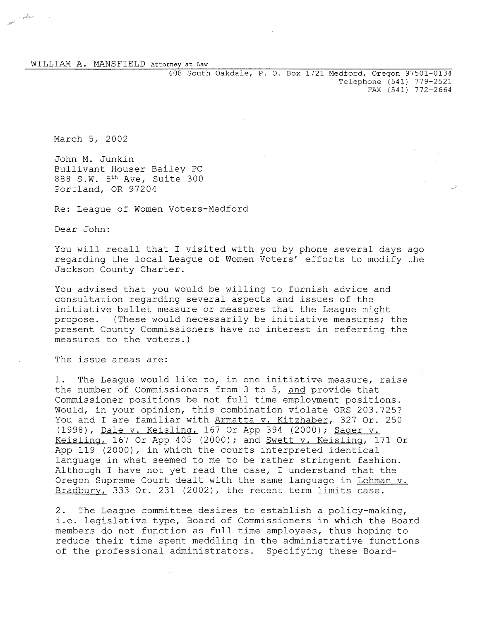408 South Oakdale, P. O. Box 1721 Medford, Oregon 97501-0134 Telephone (541) 779-2521 FAX (541) 772-2664

March 5, 2002

and a short

John M. Junkin Bullivant Houser Bailey PC 888 S.W. 5th Ave, Suite 300 Portland, OR 97204

Re: League of Women Voters-Medford

Dear John:

You will recall that I visited with you by phone several days ago regarding the local League of Women Voters' efforts to modify the Jackson County Charter.

You advised that you would be willing to furnish advice and consultation regarding several aspects and issues of the initiative ballet measure or measures that the League might propose. (These would necessarily be initiative measures; the present County Commissioners have no interest in referring the measures to the voters.)

The issue areas are:

1. The League would like to, in one initiative measure, raise the number of Commissioners from 3 to 5, and provide that Commissioner positions be not full time employment positions. Would, in your opinion, this combination violate ORS 203.725? You and I are familiar with Armatta v. Kitzhaber, 327 Or. 250 (1998), Dale v. Keisling, 167 Or App 394 (2000); Sager v. Keisling, 167 Or App 405 (2000); and Swett v. Keisling, 171 Or App 119 (2000), in which the courts interpreted identical language in what seemed to me to be rather stringent fashion. Although I have not yet read the case, I understand that the Oregon Supreme Court dealt with the same language in Lehman v. Bradbury, 333 Or. 231 (2002), the recent term limits case.

2. The League committee desires to establish a policy-making, i.e. legislative type, Board of Commissioners in which the Board members do not function as full time employees, thus hoping to reduce their time spent meddling in the administrative functions of the professional administrators. Specifying these Board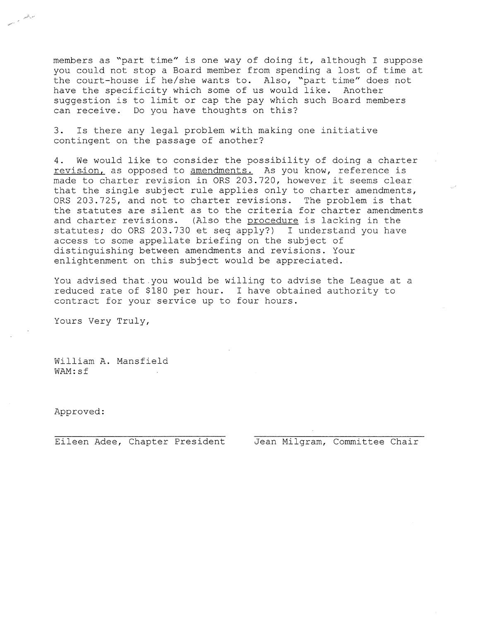members as "part time" is one way of doing **it,** although I suppose you could not stop a Board member from spending a lost of time at the court-house if he/she wants to. Also, "part time" does not<br>have the specificity which some of us would like. Another have the specificity which some of us would like. suggestion is to limit or cap the pay which such Board members can receive. Do you have thoughts on this?

**3.** Is there any legal problem with making one initiative contingent on the passage of another?

**4.** We would like to consider the possibility of doing a charter revis.ion, as opposed to **amendments.** As you know, reference is made to charter revision in ORS 203.720, however it seems clear that the single subject rule applies only to charter amendments, ORS 203.725, and not to charter revisions. The problem is that the statutes are silent as to the criteria for charter amendments and charter revisions. (Also the procedure is lacking in the statutes; do ORS 203.730 et seq apply?) I understand you have access to some appellate briefing on the subject of distinguishing between amendments and revisions. Your enlightenment on this subject would be appreciated.

You advised that you would be willing to advise the League at a reduced rate of \$180 per hour. I have obtained authority to contract for your service up to four hours.

Yours Very Truly,

William **A.** Mansfield WAM:sf

Approved:

Eileen Adee, Chapter President Jean Milgram, Committee Chair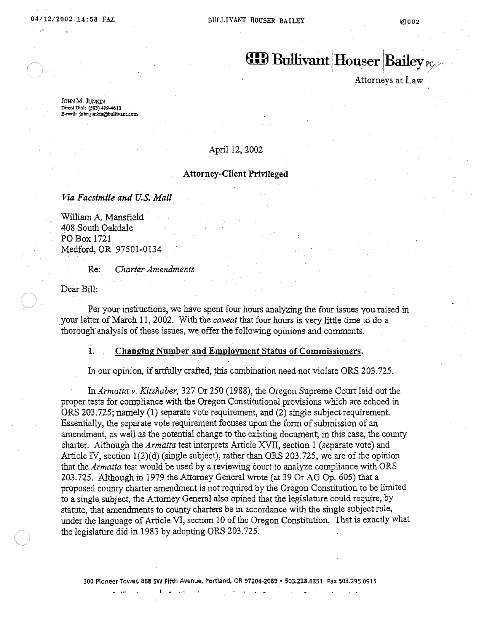$f(B)$  Bullivant Houser Bailey  $r_{C}$ 

Attorneys at Law

JOHN M. JUNKIN Direct Dial: (503) 499-4613 .e--il: john.junlcin@bullivanLcom

### April 12, 2002

### Attorney-Client Privileged

*Via Facsimile and U.S. Mail* 

William A. Mansfield 408 South Oakdale PO Box 1721 . Medford, OR 97501-0134

Re: *Charter Amendments* 

Dear Bill:

Per your instructions, we have spent four hours analyzing the four issues you raised in your letter of March 11, 2002. With the *caveat* that four hours is very little time to do a thorough' analysis of these issues, we offer the following opinions and comments.

### 1. Changing Number and Employment Status of Commissioners.

In our opinion, if artfully crafted, this combination need not violate ORS 203.725.

In *Annatta* v. *Kitzhaber,* 327 Or 250 (1988), the Oregon Supreme Court laid out the proper tests for compliance with the Oregon Constitutional provisions which are echoed in ORS 203.725; namely (1) separate vote requirement, and (2) single subject requirement. Essentially, the separate vote requirement focuses upon the form of submission of an amendment, as well as the potential change to the existing document; in this case, the county charter. Although the *Armatta* test interprets Article XVII, section 1 (separate vote) and Article IV, section  $1(2)(d)$  (single subject), rather than ORS 203.725, we are of the opinion that the *Armatta* test would be used by a reviewing court to analyze compliance with ORS 203.725. Although in 1979 the Attorney General wrote (at 39 Or AG Op. 605) that a proposed county charter amendment is not required by the Oregon Constitution to be limited to a single subject, the Attorney General also opined that the legislature could require, by statute, that amendments to county charters be in accordance with the single subject rule, under the language of Article VI, section 10 of the Oregon Constitution. That is exactly what the legislature did in 1983 by adopting ORS 203.725.

I ~ .,. . .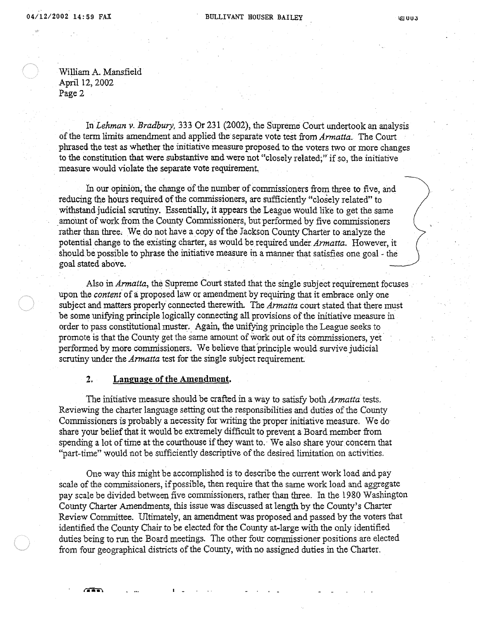William A. Mansfield April 12,2002 Page 2

In *Lehman v. Bradbury,* 333 Or 231 (2002), the Supreme Court undertook an analysis of the term limits amendment and applied the separate vote test from *Armatta.* The Court phrased the test as whether the injtiative measure proposed to the voters two or more changes to the constitution that were substantive and were not "closely related;" if so, the initiative measure would violate the separate vote requirement,

In our opinion, the change of the number of commissioners from three to five, and reducing the hours required of the commissioners, are sufficiently "closely related" to withstand judicial scrutiny. Essentially, it appears the League would like to get the same amount of work from the County Commissioners, but performed by five commissioners rather than three. We do not have a copy of the Jackson County Charter to analyze the potential change to the existing charter, as would be required under *Armatta*. However, it should be possible to phrase the initiative measure in a manner that satisfies one goal - the goal stated above.

Also in *Armatta,* the Supreme Court stated that the single subject requirement focuses upon the *content* of a proposed law or amendment by requiring that it embrace only one subject and matters properly connected therewith. The *Armatta* court stated that there must be some unifying principle logically connecting all provisions of the initiative measure in order to pass constltutional muster. Again, the unifying principle the League seeks to promote is that the County get the same amount of work out of its commissioners, yet performed by more commissioners. We believe thafprinciple would survive judicial scrutiny under the *Armatta* test for the single subject requirement.

# 2. Language of the Amendment.

 $\blacksquare$ 

The initiative measure should be crafted in a way to satisfy both *Armatta* tests. ReViewing the charter language setting out the responsibilities and duties of the County Commissioners is probably a necessity for writing the proper initiative measure. We doshare your belief that it would be extremely difficult to prevent a Board member from spending a lot of time at the courthouse if they want to. We also share your concern that "part-time" would not be sufficiently descriptive of the desired limitation on activities.

One way this might be accomplished is to describe the current work load and pay scale of the commissioners, if possible, then require that the same work load and aggregate pay scale be divided between five commissioners, rather than three. In the 1980 Washington County Charter Amendments, this issue was discussed at length by the County's Charter Review Committee. Ultimately, an amendment was proposed and passed by the voters that identified the County Chair to be elected for the County at-large with the only identified duties being to run the Board meetings. The other four commissioner positions are elected from four geographical districts of the County, with no assigned duties in the Charter.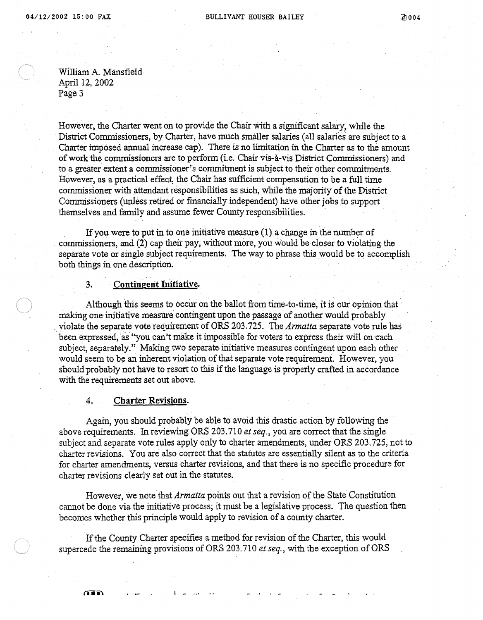William A. Mansfield April 12, 2002 Page 3

However, the Charter went on to provide the Chair with a significant salary, while the District Commissioners, by Charter, have much smaller salaries (aU salaries are subject to a Charter imposed annual increase cap). There is no limitation in the Charter as to the amount of work the commissioners are to perform (i.e. Chair vis-a.-vis District Commissioners) and to a greater extent a commissioner's commitment is subject to their other commitments. However, as a practical effect, the Chair has sufficient compensation to be a full time commissioner with attendant responsibilities as such, while the majority of the District Commissioners (unless retired or financially independent) have other jobs to support themselves and family and assume fewer County responsibilities.

. If you were to put in to one initiative measure (1) a change in the number of commissioners, and (2) cap their pay, without more, you would be closer to violating the separate vote or single subject requirements. The way to phrase this would be to accomplish both things in one description. .

# 3. Contingent Initiative.

Although this seems to occur on the ballot from time-to-time, it is our opinion that making one initiative measure contingent upon the passage of another would probably '. violate the separate vote requirement of ORS 203.725. The *Armatta* separate vote rule has been expressed, as ''you can't make it impossible for voters to express their will on each subject, separately." Making two separate initiative measures contingent upon each other would seem to be an inherent violation of that separate vote requirement. However, you should probably not have to resort to this if the language is properly crafted in accordance with the requirements set out above.

### 4. Charter Revisions.

Again, you should probably be able to avoid this drastic action by following the above requirements. In reviewing ORS 203.710 *et seq.,* you are correct that the single subject and separate vote rules app1y only to charter amendments, under ORS 203.725, not to charter revisions. You are also correct that the statutes are essentially silent as to the criteria for charter amendments, versus charter revisions, and that there is no specific procedure for charter revisions clearly set out in the statutes.

However, we note that *Armatta* points out that a revision of the State Constitution cannot be done via the initiative process; it must be a legislative process. The question then becomes whether this principle would apply to revision of a county charter.

If the County Charter specifies a method for revision of the Charter, this would supercede the remaining provisions of ORS 203.710 *et seq.,* with the exception of ORS

 $\mathbf{I}$   $\mathbf{I}$  ...

ÆÑ